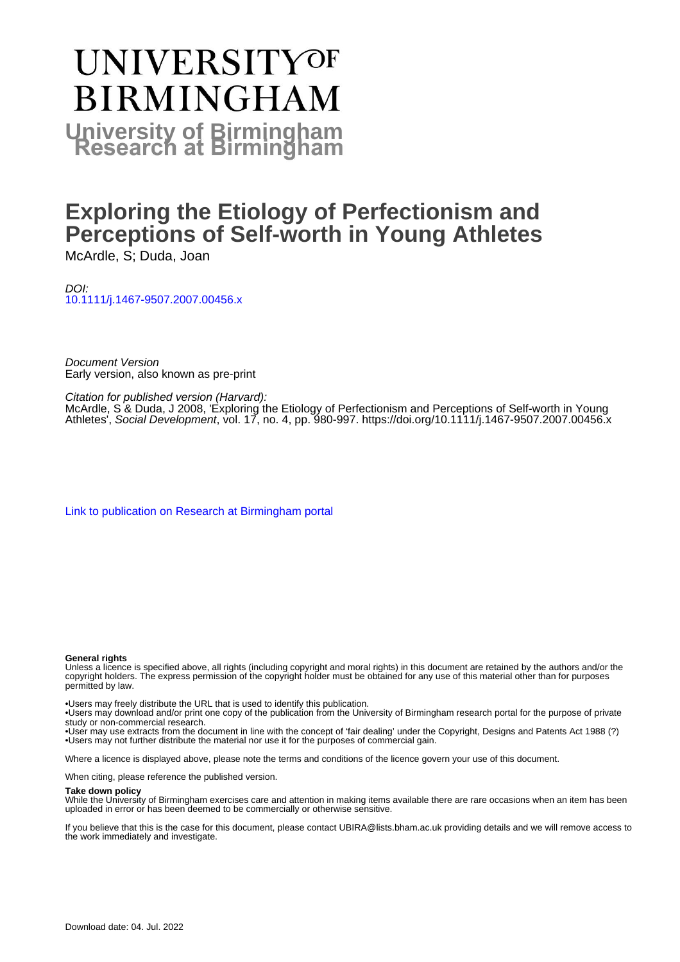# **UNIVERSITYOF BIRMINGHAM University of Birmingham**

## **Exploring the Etiology of Perfectionism and Perceptions of Self-worth in Young Athletes**

McArdle, S; Duda, Joan

DOI: [10.1111/j.1467-9507.2007.00456.x](https://doi.org/10.1111/j.1467-9507.2007.00456.x)

Document Version Early version, also known as pre-print

Citation for published version (Harvard):

McArdle, S & Duda, J 2008, 'Exploring the Etiology of Perfectionism and Perceptions of Self-worth in Young Athletes', Social Development, vol. 17, no. 4, pp. 980-997. <https://doi.org/10.1111/j.1467-9507.2007.00456.x>

[Link to publication on Research at Birmingham portal](https://birmingham.elsevierpure.com/en/publications/5c7a00ba-0d1b-451b-bb1c-ea6670f9bf17)

#### **General rights**

Unless a licence is specified above, all rights (including copyright and moral rights) in this document are retained by the authors and/or the copyright holders. The express permission of the copyright holder must be obtained for any use of this material other than for purposes permitted by law.

• Users may freely distribute the URL that is used to identify this publication.

• Users may download and/or print one copy of the publication from the University of Birmingham research portal for the purpose of private study or non-commercial research.

• User may use extracts from the document in line with the concept of 'fair dealing' under the Copyright, Designs and Patents Act 1988 (?) • Users may not further distribute the material nor use it for the purposes of commercial gain.

Where a licence is displayed above, please note the terms and conditions of the licence govern your use of this document.

When citing, please reference the published version.

#### **Take down policy**

While the University of Birmingham exercises care and attention in making items available there are rare occasions when an item has been uploaded in error or has been deemed to be commercially or otherwise sensitive.

If you believe that this is the case for this document, please contact UBIRA@lists.bham.ac.uk providing details and we will remove access to the work immediately and investigate.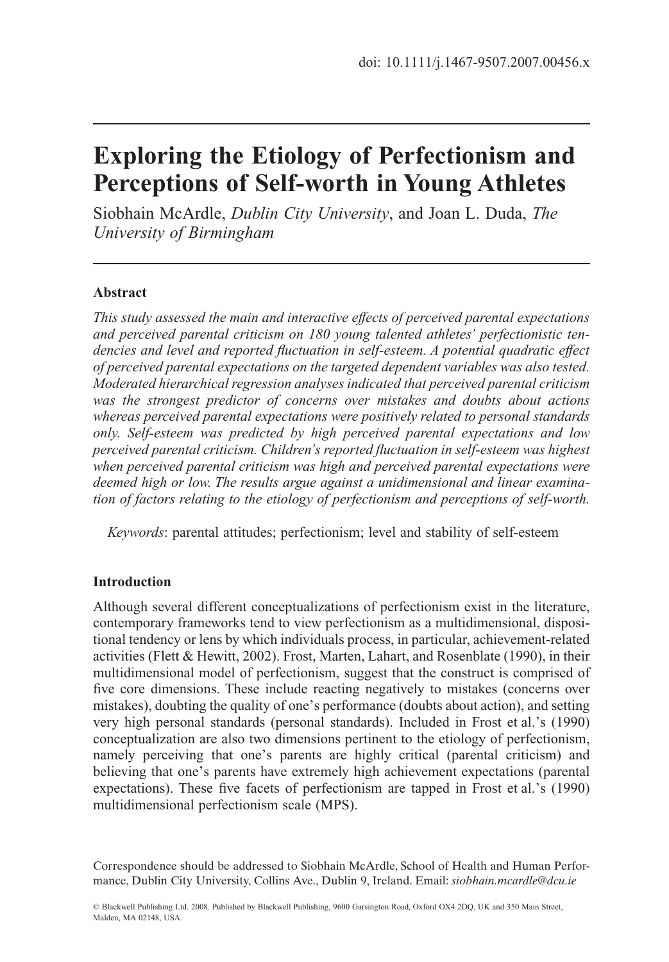### **Exploring the Etiology of Perfectionism and Perceptions of Self-worth in Young Athletes**

Siobhain McArdle, *Dublin City University*, and Joan L. Duda, *The University of Birmingham*

#### **Abstract**

*This study assessed the main and interactive effects of perceived parental expectations and perceived parental criticism on 180 young talented athletes' perfectionistic tendencies and level and reported fluctuation in self-esteem. A potential quadratic effect of perceived parental expectations on the targeted dependent variables was also tested. Moderated hierarchical regression analyses indicated that perceived parental criticism was the strongest predictor of concerns over mistakes and doubts about actions whereas perceived parental expectations were positively related to personal standards only. Self-esteem was predicted by high perceived parental expectations and low perceived parental criticism. Children's reported fluctuation in self-esteem was highest when perceived parental criticism was high and perceived parental expectations were deemed high or low. The results argue against a unidimensional and linear examination of factors relating to the etiology of perfectionism and perceptions of self-worth.*

*Keywords*: parental attitudes; perfectionism; level and stability of self-esteem

#### **Introduction**

Although several different conceptualizations of perfectionism exist in the literature, contemporary frameworks tend to view perfectionism as a multidimensional, dispositional tendency or lens by which individuals process, in particular, achievement-related activities (Flett & Hewitt, 2002). Frost, Marten, Lahart, and Rosenblate (1990), in their multidimensional model of perfectionism, suggest that the construct is comprised of five core dimensions. These include reacting negatively to mistakes (concerns over mistakes), doubting the quality of one's performance (doubts about action), and setting very high personal standards (personal standards). Included in Frost et al.'s (1990) conceptualization are also two dimensions pertinent to the etiology of perfectionism, namely perceiving that one's parents are highly critical (parental criticism) and believing that one's parents have extremely high achievement expectations (parental expectations). These five facets of perfectionism are tapped in Frost et al.'s (1990) multidimensional perfectionism scale (MPS).

Correspondence should be addressed to Siobhain McArdle, School of Health and Human Performance, Dublin City University, Collins Ave., Dublin 9, Ireland. Email: *siobhain.[mcardle@dcu.ie](mailto:mcardle@dcu.ie)*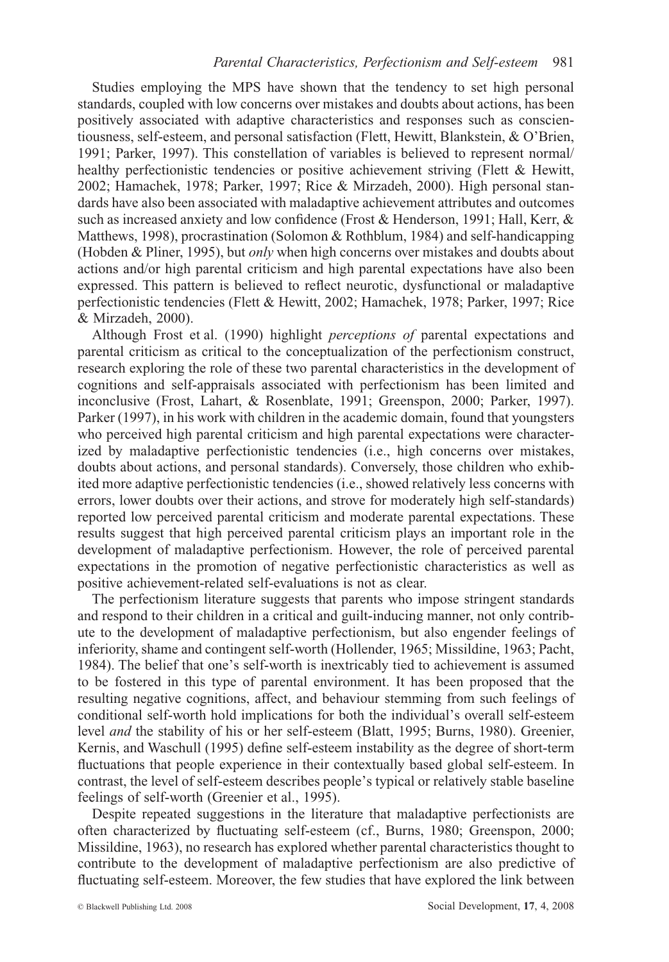Studies employing the MPS have shown that the tendency to set high personal standards, coupled with low concerns over mistakes and doubts about actions, has been positively associated with adaptive characteristics and responses such as conscientiousness, self-esteem, and personal satisfaction (Flett, Hewitt, Blankstein, & O'Brien, 1991; Parker, 1997). This constellation of variables is believed to represent normal/ healthy perfectionistic tendencies or positive achievement striving (Flett & Hewitt, 2002; Hamachek, 1978; Parker, 1997; Rice & Mirzadeh, 2000). High personal standards have also been associated with maladaptive achievement attributes and outcomes such as increased anxiety and low confidence (Frost & Henderson, 1991; Hall, Kerr, & Matthews, 1998), procrastination (Solomon & Rothblum, 1984) and self-handicapping (Hobden & Pliner, 1995), but *only* when high concerns over mistakes and doubts about actions and/or high parental criticism and high parental expectations have also been expressed. This pattern is believed to reflect neurotic, dysfunctional or maladaptive perfectionistic tendencies (Flett & Hewitt, 2002; Hamachek, 1978; Parker, 1997; Rice & Mirzadeh, 2000).

Although Frost et al. (1990) highlight *perceptions of* parental expectations and parental criticism as critical to the conceptualization of the perfectionism construct, research exploring the role of these two parental characteristics in the development of cognitions and self-appraisals associated with perfectionism has been limited and inconclusive (Frost, Lahart, & Rosenblate, 1991; Greenspon, 2000; Parker, 1997). Parker (1997), in his work with children in the academic domain, found that youngsters who perceived high parental criticism and high parental expectations were characterized by maladaptive perfectionistic tendencies (i.e., high concerns over mistakes, doubts about actions, and personal standards). Conversely, those children who exhibited more adaptive perfectionistic tendencies (i.e., showed relatively less concerns with errors, lower doubts over their actions, and strove for moderately high self-standards) reported low perceived parental criticism and moderate parental expectations. These results suggest that high perceived parental criticism plays an important role in the development of maladaptive perfectionism. However, the role of perceived parental expectations in the promotion of negative perfectionistic characteristics as well as positive achievement-related self-evaluations is not as clear.

The perfectionism literature suggests that parents who impose stringent standards and respond to their children in a critical and guilt-inducing manner, not only contribute to the development of maladaptive perfectionism, but also engender feelings of inferiority, shame and contingent self-worth (Hollender, 1965; Missildine, 1963; Pacht, 1984). The belief that one's self-worth is inextricably tied to achievement is assumed to be fostered in this type of parental environment. It has been proposed that the resulting negative cognitions, affect, and behaviour stemming from such feelings of conditional self-worth hold implications for both the individual's overall self-esteem level *and* the stability of his or her self-esteem (Blatt, 1995; Burns, 1980). Greenier, Kernis, and Waschull (1995) define self-esteem instability as the degree of short-term fluctuations that people experience in their contextually based global self-esteem. In contrast, the level of self-esteem describes people's typical or relatively stable baseline feelings of self-worth (Greenier et al., 1995).

Despite repeated suggestions in the literature that maladaptive perfectionists are often characterized by fluctuating self-esteem (cf., Burns, 1980; Greenspon, 2000; Missildine, 1963), no research has explored whether parental characteristics thought to contribute to the development of maladaptive perfectionism are also predictive of fluctuating self-esteem. Moreover, the few studies that have explored the link between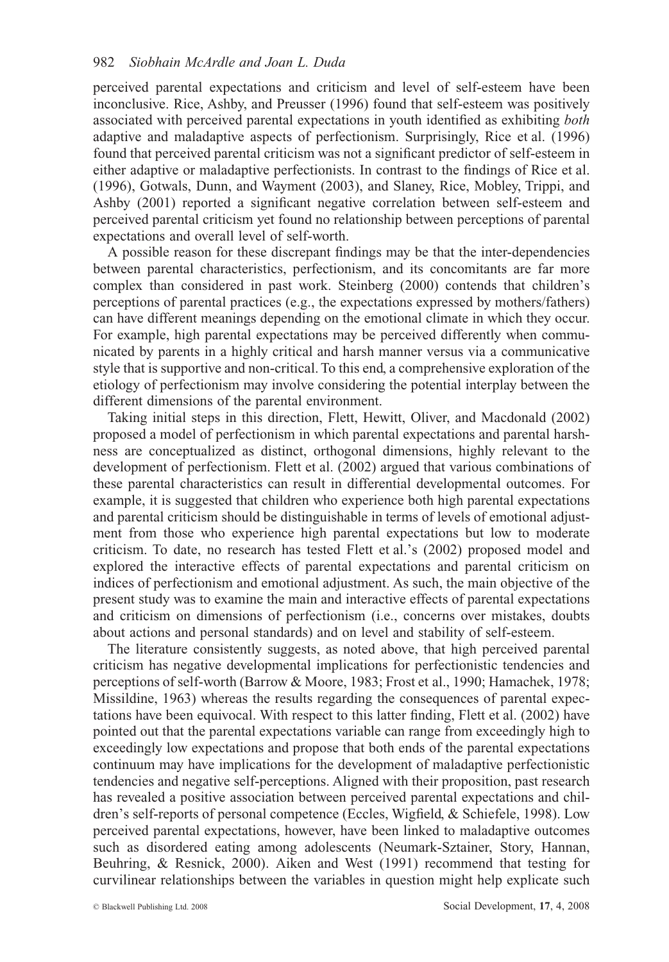perceived parental expectations and criticism and level of self-esteem have been inconclusive. Rice, Ashby, and Preusser (1996) found that self-esteem was positively associated with perceived parental expectations in youth identified as exhibiting *both* adaptive and maladaptive aspects of perfectionism. Surprisingly, Rice et al. (1996) found that perceived parental criticism was not a significant predictor of self-esteem in either adaptive or maladaptive perfectionists. In contrast to the findings of Rice et al. (1996), Gotwals, Dunn, and Wayment (2003), and Slaney, Rice, Mobley, Trippi, and Ashby (2001) reported a significant negative correlation between self-esteem and perceived parental criticism yet found no relationship between perceptions of parental expectations and overall level of self-worth.

A possible reason for these discrepant findings may be that the inter-dependencies between parental characteristics, perfectionism, and its concomitants are far more complex than considered in past work. Steinberg (2000) contends that children's perceptions of parental practices (e.g., the expectations expressed by mothers/fathers) can have different meanings depending on the emotional climate in which they occur. For example, high parental expectations may be perceived differently when communicated by parents in a highly critical and harsh manner versus via a communicative style that is supportive and non-critical. To this end, a comprehensive exploration of the etiology of perfectionism may involve considering the potential interplay between the different dimensions of the parental environment.

Taking initial steps in this direction, Flett, Hewitt, Oliver, and Macdonald (2002) proposed a model of perfectionism in which parental expectations and parental harshness are conceptualized as distinct, orthogonal dimensions, highly relevant to the development of perfectionism. Flett et al. (2002) argued that various combinations of these parental characteristics can result in differential developmental outcomes. For example, it is suggested that children who experience both high parental expectations and parental criticism should be distinguishable in terms of levels of emotional adjustment from those who experience high parental expectations but low to moderate criticism. To date, no research has tested Flett et al.'s (2002) proposed model and explored the interactive effects of parental expectations and parental criticism on indices of perfectionism and emotional adjustment. As such, the main objective of the present study was to examine the main and interactive effects of parental expectations and criticism on dimensions of perfectionism (i.e., concerns over mistakes, doubts about actions and personal standards) and on level and stability of self-esteem.

The literature consistently suggests, as noted above, that high perceived parental criticism has negative developmental implications for perfectionistic tendencies and perceptions of self-worth (Barrow & Moore, 1983; Frost et al., 1990; Hamachek, 1978; Missildine, 1963) whereas the results regarding the consequences of parental expectations have been equivocal. With respect to this latter finding, Flett et al. (2002) have pointed out that the parental expectations variable can range from exceedingly high to exceedingly low expectations and propose that both ends of the parental expectations continuum may have implications for the development of maladaptive perfectionistic tendencies and negative self-perceptions. Aligned with their proposition, past research has revealed a positive association between perceived parental expectations and children's self-reports of personal competence (Eccles, Wigfield, & Schiefele, 1998). Low perceived parental expectations, however, have been linked to maladaptive outcomes such as disordered eating among adolescents (Neumark-Sztainer, Story, Hannan, Beuhring, & Resnick, 2000). Aiken and West (1991) recommend that testing for curvilinear relationships between the variables in question might help explicate such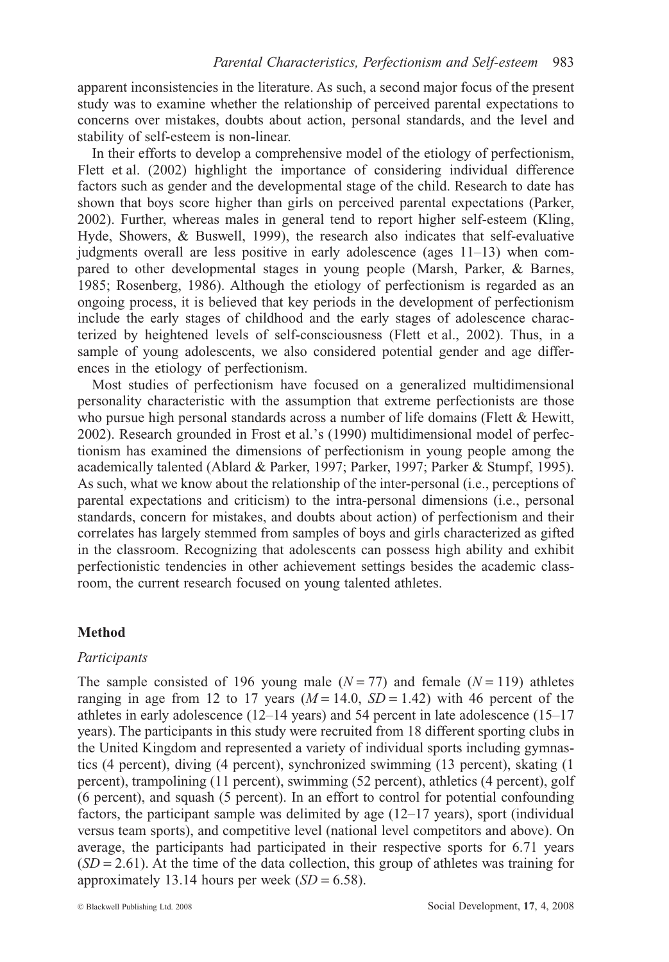apparent inconsistencies in the literature. As such, a second major focus of the present study was to examine whether the relationship of perceived parental expectations to concerns over mistakes, doubts about action, personal standards, and the level and stability of self-esteem is non-linear.

In their efforts to develop a comprehensive model of the etiology of perfectionism, Flett et al. (2002) highlight the importance of considering individual difference factors such as gender and the developmental stage of the child. Research to date has shown that boys score higher than girls on perceived parental expectations (Parker, 2002). Further, whereas males in general tend to report higher self-esteem (Kling, Hyde, Showers, & Buswell, 1999), the research also indicates that self-evaluative judgments overall are less positive in early adolescence (ages 11–13) when compared to other developmental stages in young people (Marsh, Parker, & Barnes, 1985; Rosenberg, 1986). Although the etiology of perfectionism is regarded as an ongoing process, it is believed that key periods in the development of perfectionism include the early stages of childhood and the early stages of adolescence characterized by heightened levels of self-consciousness (Flett et al., 2002). Thus, in a sample of young adolescents, we also considered potential gender and age differences in the etiology of perfectionism.

Most studies of perfectionism have focused on a generalized multidimensional personality characteristic with the assumption that extreme perfectionists are those who pursue high personal standards across a number of life domains (Flett & Hewitt, 2002). Research grounded in Frost et al.'s (1990) multidimensional model of perfectionism has examined the dimensions of perfectionism in young people among the academically talented (Ablard & Parker, 1997; Parker, 1997; Parker & Stumpf, 1995). As such, what we know about the relationship of the inter-personal (i.e., perceptions of parental expectations and criticism) to the intra-personal dimensions (i.e., personal standards, concern for mistakes, and doubts about action) of perfectionism and their correlates has largely stemmed from samples of boys and girls characterized as gifted in the classroom. Recognizing that adolescents can possess high ability and exhibit perfectionistic tendencies in other achievement settings besides the academic classroom, the current research focused on young talented athletes.

#### **Method**

#### *Participants*

The sample consisted of 196 young male  $(N = 77)$  and female  $(N = 119)$  athletes ranging in age from 12 to 17 years  $(M = 14.0, SD = 1.42)$  with 46 percent of the athletes in early adolescence (12–14 years) and 54 percent in late adolescence (15–17 years). The participants in this study were recruited from 18 different sporting clubs in the United Kingdom and represented a variety of individual sports including gymnastics (4 percent), diving (4 percent), synchronized swimming (13 percent), skating (1 percent), trampolining (11 percent), swimming (52 percent), athletics (4 percent), golf (6 percent), and squash (5 percent). In an effort to control for potential confounding factors, the participant sample was delimited by age (12–17 years), sport (individual versus team sports), and competitive level (national level competitors and above). On average, the participants had participated in their respective sports for 6.71 years  $(SD = 2.61)$ . At the time of the data collection, this group of athletes was training for approximately 13.14 hours per week  $(SD = 6.58)$ .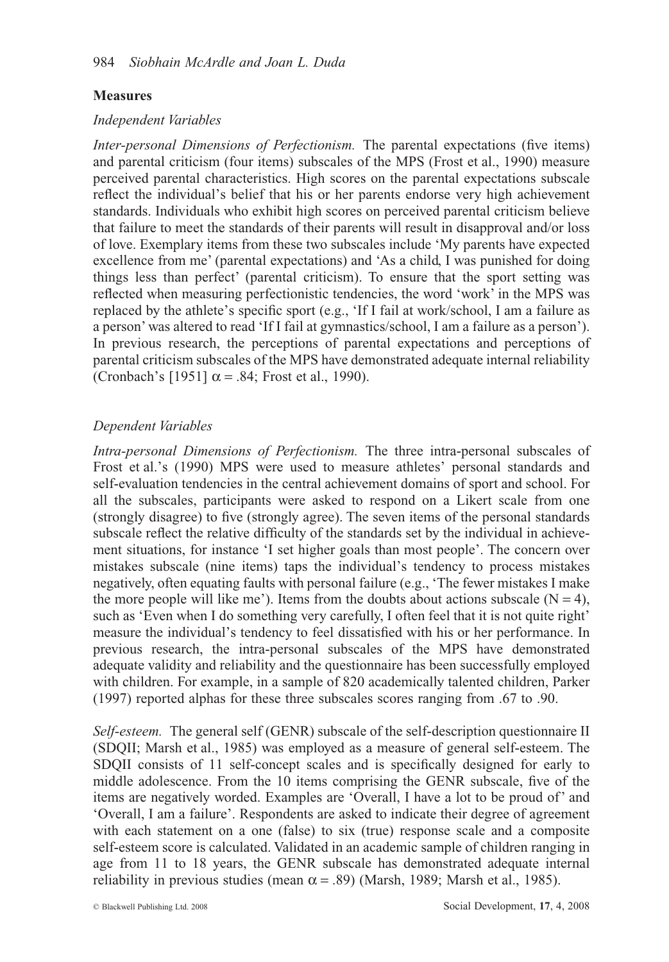#### **Measures**

#### *Independent Variables*

*Inter-personal Dimensions of Perfectionism.* The parental expectations (five items) and parental criticism (four items) subscales of the MPS (Frost et al., 1990) measure perceived parental characteristics. High scores on the parental expectations subscale reflect the individual's belief that his or her parents endorse very high achievement standards. Individuals who exhibit high scores on perceived parental criticism believe that failure to meet the standards of their parents will result in disapproval and/or loss of love. Exemplary items from these two subscales include 'My parents have expected excellence from me' (parental expectations) and 'As a child, I was punished for doing things less than perfect' (parental criticism). To ensure that the sport setting was reflected when measuring perfectionistic tendencies, the word 'work' in the MPS was replaced by the athlete's specific sport (e.g., 'If I fail at work/school, I am a failure as a person' was altered to read 'If I fail at gymnastics/school, I am a failure as a person'). In previous research, the perceptions of parental expectations and perceptions of parental criticism subscales of the MPS have demonstrated adequate internal reliability (Cronbach's [1951]  $\alpha$  = .84; Frost et al., 1990).

#### *Dependent Variables*

*Intra-personal Dimensions of Perfectionism.* The three intra-personal subscales of Frost et al.'s (1990) MPS were used to measure athletes' personal standards and self-evaluation tendencies in the central achievement domains of sport and school. For all the subscales, participants were asked to respond on a Likert scale from one (strongly disagree) to five (strongly agree). The seven items of the personal standards subscale reflect the relative difficulty of the standards set by the individual in achievement situations, for instance 'I set higher goals than most people'. The concern over mistakes subscale (nine items) taps the individual's tendency to process mistakes negatively, often equating faults with personal failure (e.g., 'The fewer mistakes I make the more people will like me'). Items from the doubts about actions subscale  $(N = 4)$ , such as 'Even when I do something very carefully, I often feel that it is not quite right' measure the individual's tendency to feel dissatisfied with his or her performance. In previous research, the intra-personal subscales of the MPS have demonstrated adequate validity and reliability and the questionnaire has been successfully employed with children. For example, in a sample of 820 academically talented children, Parker (1997) reported alphas for these three subscales scores ranging from .67 to .90.

*Self-esteem.* The general self (GENR) subscale of the self-description questionnaire II (SDQII; Marsh et al., 1985) was employed as a measure of general self-esteem. The SDQII consists of 11 self-concept scales and is specifically designed for early to middle adolescence. From the 10 items comprising the GENR subscale, five of the items are negatively worded. Examples are 'Overall, I have a lot to be proud of ' and 'Overall, I am a failure'. Respondents are asked to indicate their degree of agreement with each statement on a one (false) to six (true) response scale and a composite self-esteem score is calculated. Validated in an academic sample of children ranging in age from 11 to 18 years, the GENR subscale has demonstrated adequate internal reliability in previous studies (mean  $\alpha$  = .89) (Marsh, 1989; Marsh et al., 1985).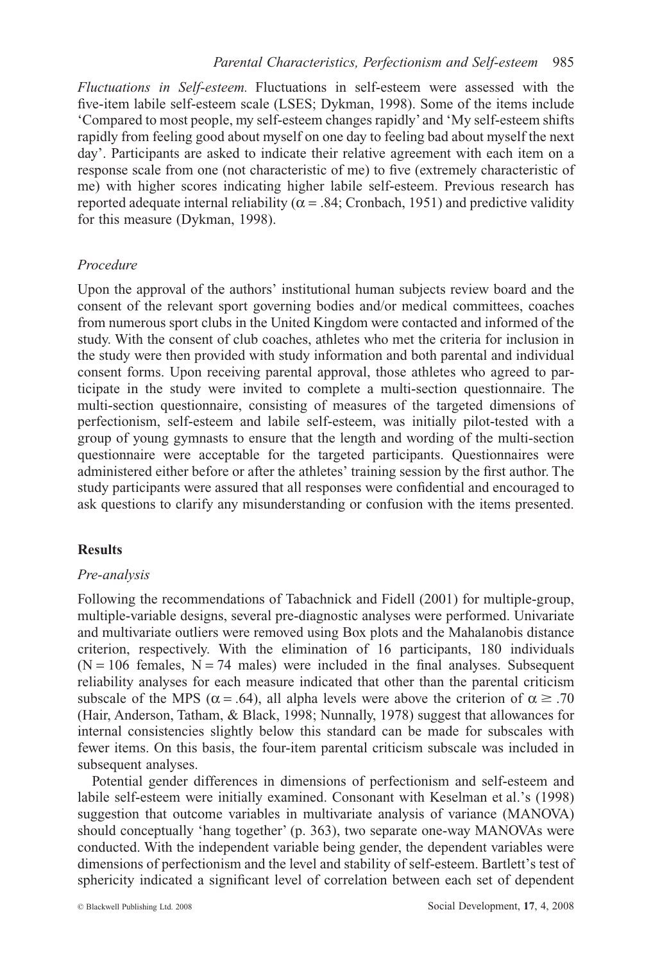*Fluctuations in Self-esteem.* Fluctuations in self-esteem were assessed with the five-item labile self-esteem scale (LSES; Dykman, 1998). Some of the items include 'Compared to most people, my self-esteem changes rapidly' and 'My self-esteem shifts rapidly from feeling good about myself on one day to feeling bad about myself the next day'. Participants are asked to indicate their relative agreement with each item on a response scale from one (not characteristic of me) to five (extremely characteristic of me) with higher scores indicating higher labile self-esteem. Previous research has reported adequate internal reliability ( $\alpha$  = .84; Cronbach, 1951) and predictive validity for this measure (Dykman, 1998).

#### *Procedure*

Upon the approval of the authors' institutional human subjects review board and the consent of the relevant sport governing bodies and/or medical committees, coaches from numerous sport clubs in the United Kingdom were contacted and informed of the study. With the consent of club coaches, athletes who met the criteria for inclusion in the study were then provided with study information and both parental and individual consent forms. Upon receiving parental approval, those athletes who agreed to participate in the study were invited to complete a multi-section questionnaire. The multi-section questionnaire, consisting of measures of the targeted dimensions of perfectionism, self-esteem and labile self-esteem, was initially pilot-tested with a group of young gymnasts to ensure that the length and wording of the multi-section questionnaire were acceptable for the targeted participants. Questionnaires were administered either before or after the athletes' training session by the first author. The study participants were assured that all responses were confidential and encouraged to ask questions to clarify any misunderstanding or confusion with the items presented.

#### **Results**

#### *Pre-analysis*

Following the recommendations of Tabachnick and Fidell (2001) for multiple-group, multiple-variable designs, several pre-diagnostic analyses were performed. Univariate and multivariate outliers were removed using Box plots and the Mahalanobis distance criterion, respectively. With the elimination of 16 participants, 180 individuals  $(N = 106$  females,  $N = 74$  males) were included in the final analyses. Subsequent reliability analyses for each measure indicated that other than the parental criticism subscale of the MPS ( $\alpha$  = .64), all alpha levels were above the criterion of  $\alpha \geq .70$ (Hair, Anderson, Tatham, & Black, 1998; Nunnally, 1978) suggest that allowances for internal consistencies slightly below this standard can be made for subscales with fewer items. On this basis, the four-item parental criticism subscale was included in subsequent analyses.

Potential gender differences in dimensions of perfectionism and self-esteem and labile self-esteem were initially examined. Consonant with Keselman et al.'s (1998) suggestion that outcome variables in multivariate analysis of variance (MANOVA) should conceptually 'hang together' (p. 363), two separate one-way MANOVAs were conducted. With the independent variable being gender, the dependent variables were dimensions of perfectionism and the level and stability of self-esteem. Bartlett's test of sphericity indicated a significant level of correlation between each set of dependent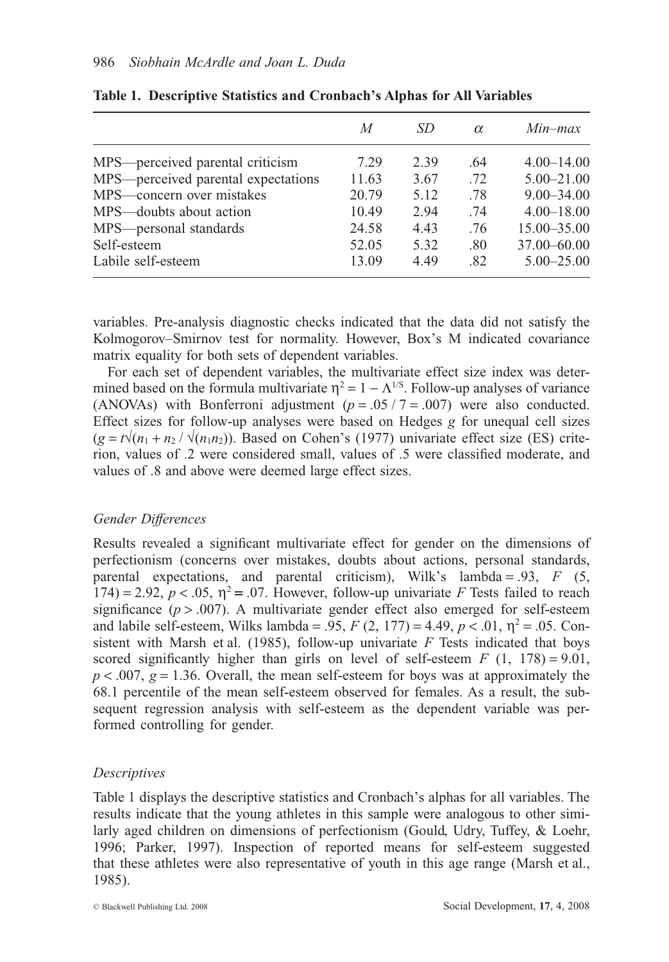|                                     | M     | SD   | $\alpha$ | $Min-max$       |
|-------------------------------------|-------|------|----------|-----------------|
| MPS—perceived parental criticism    | 7.29  | 2.39 | .64      | $4.00 - 14.00$  |
| MPS—perceived parental expectations | 11.63 | 3.67 | .72      | $5.00 - 21.00$  |
| MPS-concern over mistakes           | 20.79 | 5.12 | .78      | $9.00 - 34.00$  |
| MPS—doubts about action             | 10.49 | 2.94 | .74      | $4.00 - 18.00$  |
| MPS-personal standards              | 24.58 | 4.43 | .76      | $15.00 - 35.00$ |
| Self-esteem                         | 52.05 | 5.32 | .80      | 37.00 - 60.00   |
| Labile self-esteem                  | 13.09 | 4.49 | .82      | $5.00 - 25.00$  |

**Table 1. Descriptive Statistics and Cronbach's Alphas for All Variables**

variables. Pre-analysis diagnostic checks indicated that the data did not satisfy the Kolmogorov–Smirnov test for normality. However, Box's M indicated covariance matrix equality for both sets of dependent variables.

For each set of dependent variables, the multivariate effect size index was determined based on the formula multivariate  $\eta^2 = 1 - \Lambda^{1/5}$ . Follow-up analyses of variance (ANOVAs) with Bonferroni adjustment  $(p = .05 / 7 = .007)$  were also conducted. Effect sizes for follow-up analyses were based on Hedges *g* for unequal cell sizes  $(g = t\sqrt{(n_1 + n_2/\sqrt{(n_1 n_2)})}$ . Based on Cohen's (1977) univariate effect size (ES) criterion, values of .2 were considered small, values of .5 were classified moderate, and values of .8 and above were deemed large effect sizes.

#### *Gender Differences*

Results revealed a significant multivariate effect for gender on the dimensions of perfectionism (concerns over mistakes, doubts about actions, personal standards, parental expectations, and parental criticism), Wilk's lambda =  $.93, F(5, 1)$  $174$ ) = 2.92,  $p < .05$ ,  $\eta^2$  = .07. However, follow-up univariate *F* Tests failed to reach significance  $(p > .007)$ . A multivariate gender effect also emerged for self-esteem and labile self-esteem, Wilks lambda = .95,  $F$  (2, 177) = 4.49,  $p < .01$ ,  $\eta^2 = .05$ . Consistent with Marsh et al. (1985), follow-up univariate *F* Tests indicated that boys scored significantly higher than girls on level of self-esteem  $F(1, 178) = 9.01$ ,  $p < .007$ ,  $q = 1.36$ . Overall, the mean self-esteem for boys was at approximately the 68.1 percentile of the mean self-esteem observed for females. As a result, the subsequent regression analysis with self-esteem as the dependent variable was performed controlling for gender.

#### *Descriptives*

Table 1 displays the descriptive statistics and Cronbach's alphas for all variables. The results indicate that the young athletes in this sample were analogous to other similarly aged children on dimensions of perfectionism (Gould, Udry, Tuffey, & Loehr, 1996; Parker, 1997). Inspection of reported means for self-esteem suggested that these athletes were also representative of youth in this age range (Marsh et al., 1985).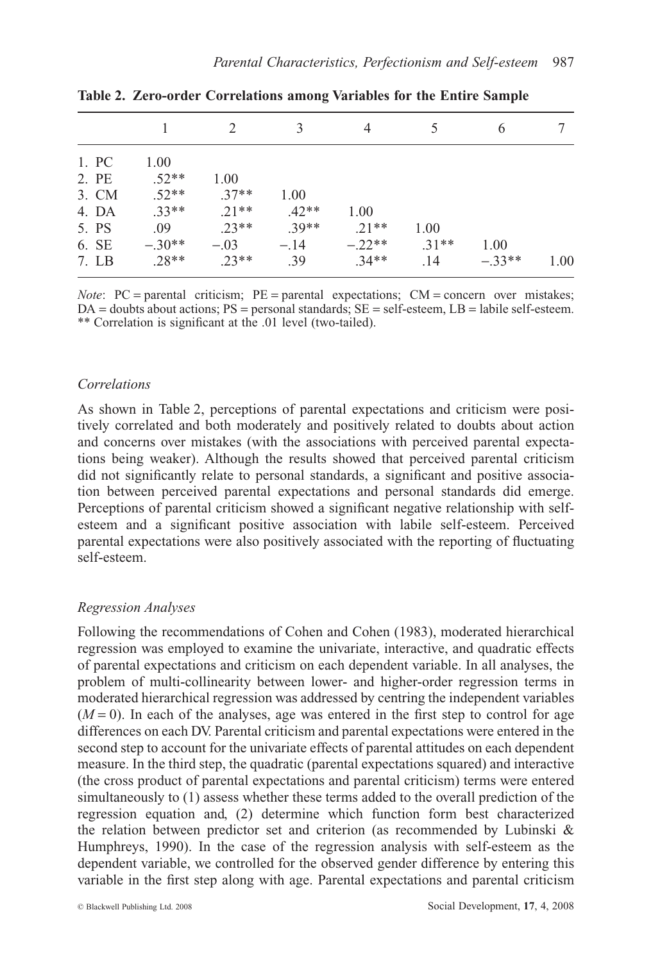|       |          |         | 3       | 4        |         | 6        |      |
|-------|----------|---------|---------|----------|---------|----------|------|
| 1. PC | 1.00     |         |         |          |         |          |      |
| 2. PE | $.52**$  | 1.00    |         |          |         |          |      |
| 3. CM | $.52**$  | $.37**$ | 1.00    |          |         |          |      |
| 4. DA | $.33**$  | $.21**$ | $.42**$ | 1.00     |         |          |      |
| 5. PS | .09      | $.23**$ | $.39**$ | $.21**$  | 1.00    |          |      |
| 6. SE | $-.30**$ | $-.03$  | $-.14$  | $-.22**$ | $.31**$ | 1.00     |      |
| 7. LB | $.28**$  | $.23**$ | .39     | $.34**$  | .14     | $-.33**$ | 1.00 |

**Table 2. Zero-order Correlations among Variables for the Entire Sample**

*Note*: PC = parental criticism; PE = parental expectations; CM = concern over mistakes;  $DA =$  doubts about actions;  $PS =$  personal standards;  $SE =$  self-esteem,  $LB =$  labile self-esteem. \*\* Correlation is significant at the .01 level (two-tailed).

#### *Correlations*

As shown in Table 2, perceptions of parental expectations and criticism were positively correlated and both moderately and positively related to doubts about action and concerns over mistakes (with the associations with perceived parental expectations being weaker). Although the results showed that perceived parental criticism did not significantly relate to personal standards, a significant and positive association between perceived parental expectations and personal standards did emerge. Perceptions of parental criticism showed a significant negative relationship with selfesteem and a significant positive association with labile self-esteem. Perceived parental expectations were also positively associated with the reporting of fluctuating self-esteem.

#### *Regression Analyses*

Following the recommendations of Cohen and Cohen (1983), moderated hierarchical regression was employed to examine the univariate, interactive, and quadratic effects of parental expectations and criticism on each dependent variable. In all analyses, the problem of multi-collinearity between lower- and higher-order regression terms in moderated hierarchical regression was addressed by centring the independent variables  $(M = 0)$ . In each of the analyses, age was entered in the first step to control for age differences on each DV. Parental criticism and parental expectations were entered in the second step to account for the univariate effects of parental attitudes on each dependent measure. In the third step, the quadratic (parental expectations squared) and interactive (the cross product of parental expectations and parental criticism) terms were entered simultaneously to (1) assess whether these terms added to the overall prediction of the regression equation and, (2) determine which function form best characterized the relation between predictor set and criterion (as recommended by Lubinski & Humphreys, 1990). In the case of the regression analysis with self-esteem as the dependent variable, we controlled for the observed gender difference by entering this variable in the first step along with age. Parental expectations and parental criticism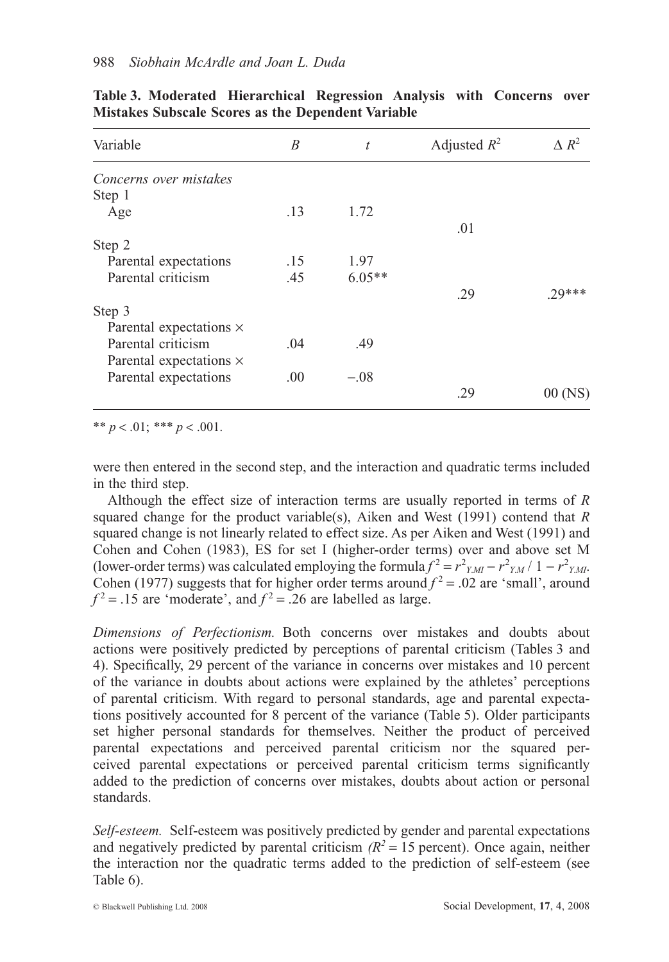| Variable                       | B    | $\boldsymbol{t}$ | Adjusted $R^2$ | $\Delta R^2$ |  |
|--------------------------------|------|------------------|----------------|--------------|--|
| Concerns over mistakes         |      |                  |                |              |  |
| Step 1                         |      |                  |                |              |  |
| Age                            | .13  | 1.72             |                |              |  |
|                                |      |                  | .01            |              |  |
| Step 2                         |      |                  |                |              |  |
| Parental expectations          | .15  | 1.97             |                |              |  |
| Parental criticism             | .45  | $6.05**$         |                |              |  |
|                                |      |                  | .29            | 29***        |  |
| Step 3                         |      |                  |                |              |  |
| Parental expectations $\times$ |      |                  |                |              |  |
| Parental criticism             | .04  | .49              |                |              |  |
| Parental expectations $\times$ |      |                  |                |              |  |
| Parental expectations          | .00. | $-.08$           |                |              |  |
|                                |      |                  | .29            |              |  |

**Table 3. Moderated Hierarchical Regression Analysis with Concerns over Mistakes Subscale Scores as the Dependent Variable**

\*\*  $p < .01$ ; \*\*\*  $p < .001$ .

were then entered in the second step, and the interaction and quadratic terms included in the third step.

Although the effect size of interaction terms are usually reported in terms of *R* squared change for the product variable(s), Aiken and West (1991) contend that *R* squared change is not linearly related to effect size. As per Aiken and West (1991) and Cohen and Cohen (1983), ES for set I (higher-order terms) over and above set M (lower-order terms) was calculated employing the formula  $f^2 = r^2$ <sub>*Y.MI*</sub>  $- r^2$ <sub>*Y.MI*</sub>. Cohen (1977) suggests that for higher order terms around  $f^2 = .02$  are 'small', around  $f^2 = .15$  are 'moderate', and  $f^2 = .26$  are labelled as large.

*Dimensions of Perfectionism.* Both concerns over mistakes and doubts about actions were positively predicted by perceptions of parental criticism (Tables 3 and 4). Specifically, 29 percent of the variance in concerns over mistakes and 10 percent of the variance in doubts about actions were explained by the athletes' perceptions of parental criticism. With regard to personal standards, age and parental expectations positively accounted for 8 percent of the variance (Table 5). Older participants set higher personal standards for themselves. Neither the product of perceived parental expectations and perceived parental criticism nor the squared perceived parental expectations or perceived parental criticism terms significantly added to the prediction of concerns over mistakes, doubts about action or personal standards.

*Self-esteem.* Self-esteem was positively predicted by gender and parental expectations and negatively predicted by parental criticism  $(R^2 = 15$  percent). Once again, neither the interaction nor the quadratic terms added to the prediction of self-esteem (see Table 6).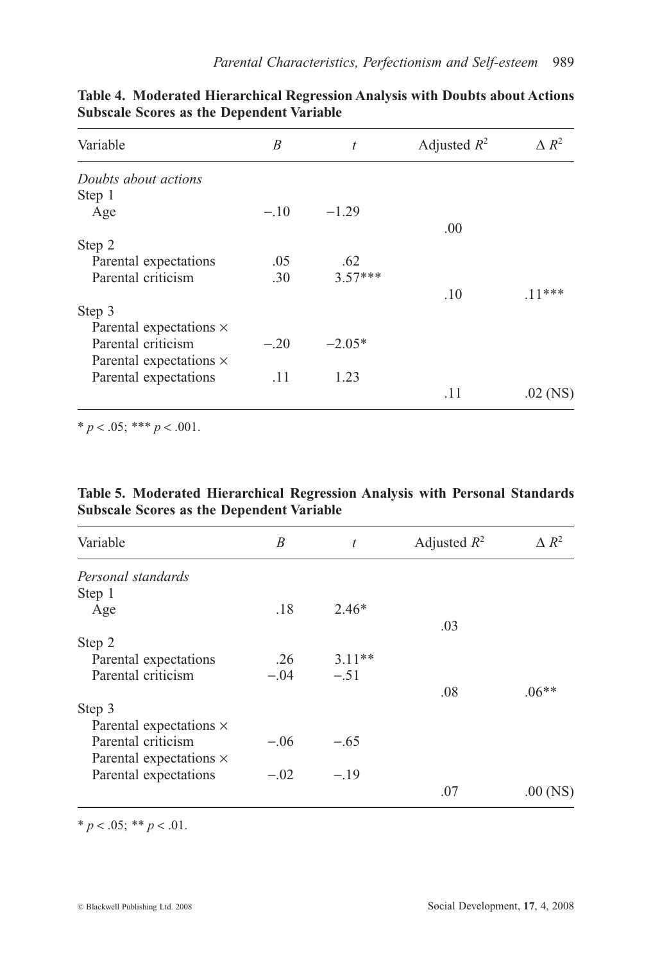| Variable                       | B      | t         | Adjusted $R^2$ | $\Lambda$ $R^2$ |  |
|--------------------------------|--------|-----------|----------------|-----------------|--|
| Doubts about actions           |        |           |                |                 |  |
| Step 1                         |        |           |                |                 |  |
| Age                            | $-.10$ | $-1.29$   |                |                 |  |
|                                |        |           | .00            |                 |  |
| Step 2                         |        |           |                |                 |  |
| Parental expectations          | .05    | .62       |                |                 |  |
| Parental criticism             | .30    | $3.57***$ |                |                 |  |
|                                |        |           | .10            | $.11***$        |  |
| Step 3                         |        |           |                |                 |  |
| Parental expectations $\times$ |        |           |                |                 |  |
| Parental criticism             | $-.20$ | $-2.05*$  |                |                 |  |
| Parental expectations $\times$ |        |           |                |                 |  |
| Parental expectations          | .11    | 1.23      |                |                 |  |
|                                |        |           | .11            | .02 (NS)        |  |

| Table 4. Moderated Hierarchical Regression Analysis with Doubts about Actions |  |  |
|-------------------------------------------------------------------------------|--|--|
| <b>Subscale Scores as the Dependent Variable</b>                              |  |  |

\*  $p < .05$ ; \*\*\*  $p < .001$ .

|  | Table 5. Moderated Hierarchical Regression Analysis with Personal Standards |  |  |  |
|--|-----------------------------------------------------------------------------|--|--|--|
|  | <b>Subscale Scores as the Dependent Variable</b>                            |  |  |  |

| Variable                       | B      | t        | Adjusted $R^2$ | $\Delta R^2$ |  |
|--------------------------------|--------|----------|----------------|--------------|--|
| Personal standards             |        |          |                |              |  |
| Step 1                         |        |          |                |              |  |
| Age                            | .18    | $2.46*$  |                |              |  |
|                                |        |          | .03            |              |  |
| Step 2                         |        |          |                |              |  |
| Parental expectations          | .26    | $3.11**$ |                |              |  |
| Parental criticism             | $-.04$ | $-.51$   |                |              |  |
|                                |        |          | .08            | $.06**$      |  |
| Step 3                         |        |          |                |              |  |
| Parental expectations $\times$ |        |          |                |              |  |
| Parental criticism             | $-.06$ | $-.65$   |                |              |  |
| Parental expectations $\times$ |        |          |                |              |  |
| Parental expectations          | $-.02$ | $-.19$   |                |              |  |
|                                |        |          | .07            | .00 (NS)     |  |

\*  $p < .05$ ; \*\*  $p < .01$ .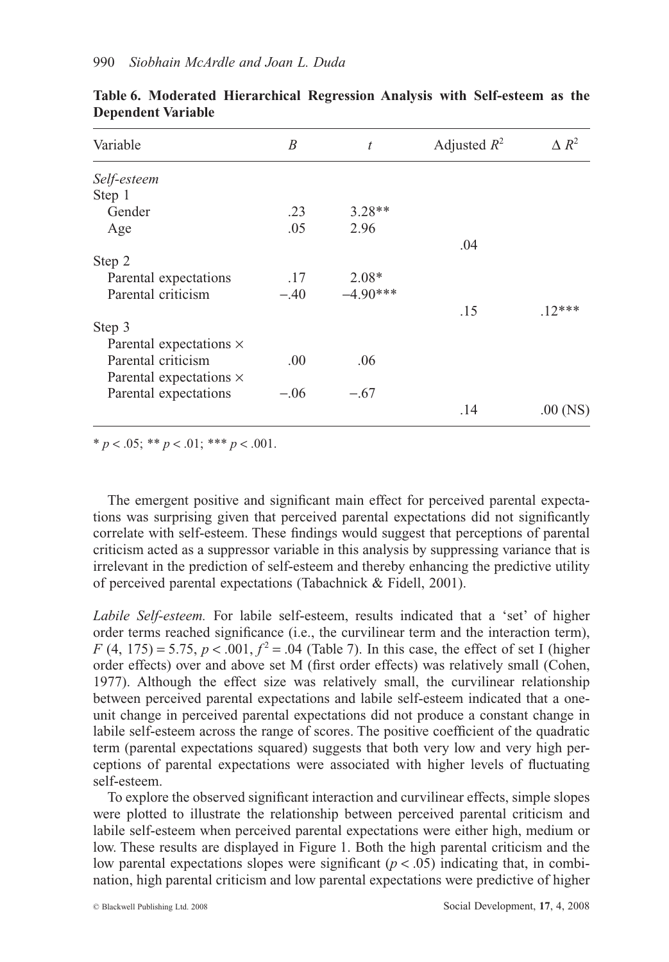| Variable                       | B      | t          | Adjusted $R^2$ | $\Delta R^2$ |  |
|--------------------------------|--------|------------|----------------|--------------|--|
| Self-esteem                    |        |            |                |              |  |
| Step 1                         |        |            |                |              |  |
| Gender                         | .23    | $3.28**$   |                |              |  |
| Age                            | .05    | 2.96       |                |              |  |
|                                |        |            | .04            |              |  |
| Step 2                         |        |            |                |              |  |
| Parental expectations          | .17    | $2.08*$    |                |              |  |
| Parental criticism             | $-.40$ | $-4.90***$ |                |              |  |
|                                |        |            | .15            | $.12***$     |  |
| Step 3                         |        |            |                |              |  |
| Parental expectations $\times$ |        |            |                |              |  |
| Parental criticism             | .00.   | .06        |                |              |  |
| Parental expectations $\times$ |        |            |                |              |  |
| Parental expectations          | $-.06$ | $-.67$     |                |              |  |
|                                |        |            | .14            | .00 (NS)     |  |
|                                |        |            |                |              |  |

**Table 6. Moderated Hierarchical Regression Analysis with Self-esteem as the Dependent Variable**

 $* p < .05; ** p < .01; ** p < .001.$ 

The emergent positive and significant main effect for perceived parental expectations was surprising given that perceived parental expectations did not significantly correlate with self-esteem. These findings would suggest that perceptions of parental criticism acted as a suppressor variable in this analysis by suppressing variance that is irrelevant in the prediction of self-esteem and thereby enhancing the predictive utility of perceived parental expectations (Tabachnick & Fidell, 2001).

*Labile Self-esteem.* For labile self-esteem, results indicated that a 'set' of higher order terms reached significance (i.e., the curvilinear term and the interaction term),  $F(4, 175) = 5.75$ ,  $p < .001$ ,  $f^2 = .04$  (Table 7). In this case, the effect of set I (higher order effects) over and above set M (first order effects) was relatively small (Cohen, 1977). Although the effect size was relatively small, the curvilinear relationship between perceived parental expectations and labile self-esteem indicated that a oneunit change in perceived parental expectations did not produce a constant change in labile self-esteem across the range of scores. The positive coefficient of the quadratic term (parental expectations squared) suggests that both very low and very high perceptions of parental expectations were associated with higher levels of fluctuating self-esteem.

To explore the observed significant interaction and curvilinear effects, simple slopes were plotted to illustrate the relationship between perceived parental criticism and labile self-esteem when perceived parental expectations were either high, medium or low. These results are displayed in Figure 1. Both the high parental criticism and the low parental expectations slopes were significant  $(p < .05)$  indicating that, in combination, high parental criticism and low parental expectations were predictive of higher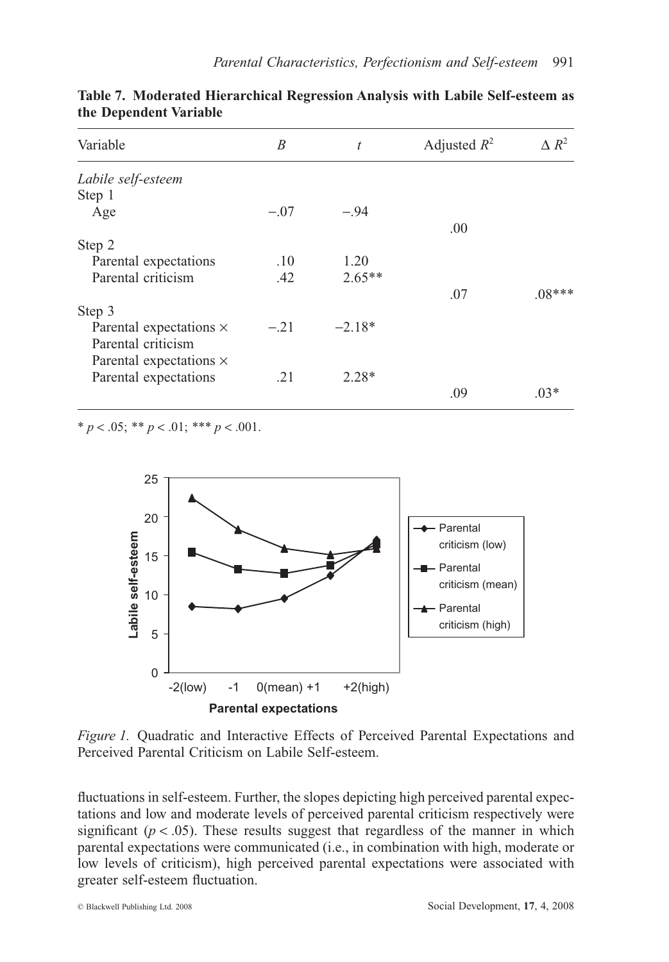| Variable                       | B      | t        | Adjusted $R^2$ | $\Delta R^2$ |  |
|--------------------------------|--------|----------|----------------|--------------|--|
| Labile self-esteem             |        |          |                |              |  |
| Step 1                         |        |          |                |              |  |
| Age                            | $-.07$ | $-.94$   |                |              |  |
|                                |        |          | .00.           |              |  |
| Step 2                         |        |          |                |              |  |
| Parental expectations          | .10    | 1.20     |                |              |  |
| Parental criticism             | .42    | $2.65**$ |                |              |  |
|                                |        |          | .07            | $.08***$     |  |
| Step 3                         |        |          |                |              |  |
| Parental expectations $\times$ | $-.21$ | $-2.18*$ |                |              |  |
| Parental criticism             |        |          |                |              |  |
| Parental expectations $\times$ |        |          |                |              |  |
| Parental expectations          | .21    | $2.28*$  |                |              |  |
|                                |        |          | .09            | $.03*$       |  |
|                                |        |          |                |              |  |

**Table 7. Moderated Hierarchical Regression Analysis with Labile Self-esteem as the Dependent Variable**

 $* p < .05$ ; \*\*  $p < .01$ ; \*\*\*  $p < .001$ .



*Figure 1.* Quadratic and Interactive Effects of Perceived Parental Expectations and Perceived Parental Criticism on Labile Self-esteem.

fluctuations in self-esteem. Further, the slopes depicting high perceived parental expectations and low and moderate levels of perceived parental criticism respectively were significant  $(p < .05)$ . These results suggest that regardless of the manner in which parental expectations were communicated (i.e., in combination with high, moderate or low levels of criticism), high perceived parental expectations were associated with greater self-esteem fluctuation.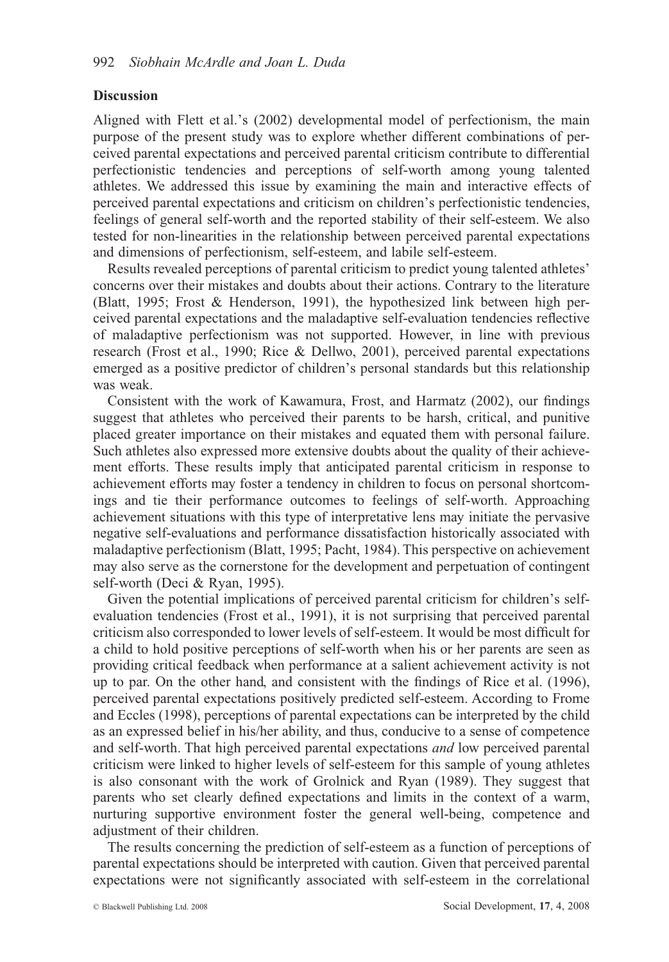#### **Discussion**

Aligned with Flett et al.'s (2002) developmental model of perfectionism, the main purpose of the present study was to explore whether different combinations of perceived parental expectations and perceived parental criticism contribute to differential perfectionistic tendencies and perceptions of self-worth among young talented athletes. We addressed this issue by examining the main and interactive effects of perceived parental expectations and criticism on children's perfectionistic tendencies, feelings of general self-worth and the reported stability of their self-esteem. We also tested for non-linearities in the relationship between perceived parental expectations and dimensions of perfectionism, self-esteem, and labile self-esteem.

Results revealed perceptions of parental criticism to predict young talented athletes' concerns over their mistakes and doubts about their actions. Contrary to the literature (Blatt, 1995; Frost & Henderson, 1991), the hypothesized link between high perceived parental expectations and the maladaptive self-evaluation tendencies reflective of maladaptive perfectionism was not supported. However, in line with previous research (Frost et al., 1990; Rice & Dellwo, 2001), perceived parental expectations emerged as a positive predictor of children's personal standards but this relationship was weak.

Consistent with the work of Kawamura, Frost, and Harmatz (2002), our findings suggest that athletes who perceived their parents to be harsh, critical, and punitive placed greater importance on their mistakes and equated them with personal failure. Such athletes also expressed more extensive doubts about the quality of their achievement efforts. These results imply that anticipated parental criticism in response to achievement efforts may foster a tendency in children to focus on personal shortcomings and tie their performance outcomes to feelings of self-worth. Approaching achievement situations with this type of interpretative lens may initiate the pervasive negative self-evaluations and performance dissatisfaction historically associated with maladaptive perfectionism (Blatt, 1995; Pacht, 1984). This perspective on achievement may also serve as the cornerstone for the development and perpetuation of contingent self-worth (Deci & Ryan, 1995).

Given the potential implications of perceived parental criticism for children's selfevaluation tendencies (Frost et al., 1991), it is not surprising that perceived parental criticism also corresponded to lower levels of self-esteem. It would be most difficult for a child to hold positive perceptions of self-worth when his or her parents are seen as providing critical feedback when performance at a salient achievement activity is not up to par. On the other hand, and consistent with the findings of Rice et al. (1996), perceived parental expectations positively predicted self-esteem. According to Frome and Eccles (1998), perceptions of parental expectations can be interpreted by the child as an expressed belief in his/her ability, and thus, conducive to a sense of competence and self-worth. That high perceived parental expectations *and* low perceived parental criticism were linked to higher levels of self-esteem for this sample of young athletes is also consonant with the work of Grolnick and Ryan (1989). They suggest that parents who set clearly defined expectations and limits in the context of a warm, nurturing supportive environment foster the general well-being, competence and adjustment of their children.

The results concerning the prediction of self-esteem as a function of perceptions of parental expectations should be interpreted with caution. Given that perceived parental expectations were not significantly associated with self-esteem in the correlational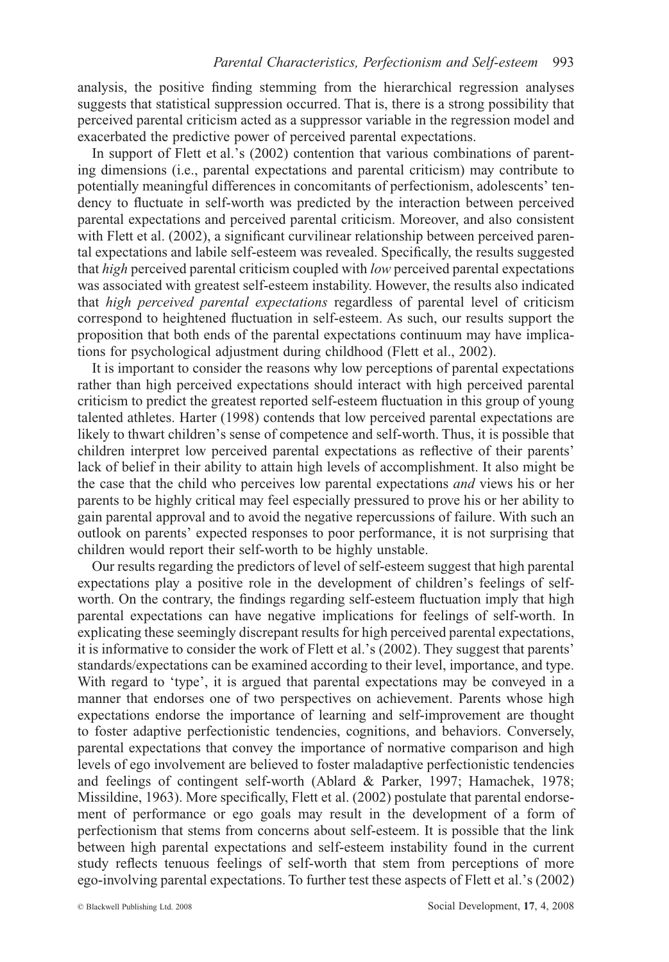analysis, the positive finding stemming from the hierarchical regression analyses suggests that statistical suppression occurred. That is, there is a strong possibility that perceived parental criticism acted as a suppressor variable in the regression model and exacerbated the predictive power of perceived parental expectations.

In support of Flett et al.'s (2002) contention that various combinations of parenting dimensions (i.e., parental expectations and parental criticism) may contribute to potentially meaningful differences in concomitants of perfectionism, adolescents' tendency to fluctuate in self-worth was predicted by the interaction between perceived parental expectations and perceived parental criticism. Moreover, and also consistent with Flett et al. (2002), a significant curvilinear relationship between perceived parental expectations and labile self-esteem was revealed. Specifically, the results suggested that *high* perceived parental criticism coupled with *low* perceived parental expectations was associated with greatest self-esteem instability. However, the results also indicated that *high perceived parental expectations* regardless of parental level of criticism correspond to heightened fluctuation in self-esteem. As such, our results support the proposition that both ends of the parental expectations continuum may have implications for psychological adjustment during childhood (Flett et al., 2002).

It is important to consider the reasons why low perceptions of parental expectations rather than high perceived expectations should interact with high perceived parental criticism to predict the greatest reported self-esteem fluctuation in this group of young talented athletes. Harter (1998) contends that low perceived parental expectations are likely to thwart children's sense of competence and self-worth. Thus, it is possible that children interpret low perceived parental expectations as reflective of their parents' lack of belief in their ability to attain high levels of accomplishment. It also might be the case that the child who perceives low parental expectations *and* views his or her parents to be highly critical may feel especially pressured to prove his or her ability to gain parental approval and to avoid the negative repercussions of failure. With such an outlook on parents' expected responses to poor performance, it is not surprising that children would report their self-worth to be highly unstable.

Our results regarding the predictors of level of self-esteem suggest that high parental expectations play a positive role in the development of children's feelings of selfworth. On the contrary, the findings regarding self-esteem fluctuation imply that high parental expectations can have negative implications for feelings of self-worth. In explicating these seemingly discrepant results for high perceived parental expectations, it is informative to consider the work of Flett et al.'s (2002). They suggest that parents' standards/expectations can be examined according to their level, importance, and type. With regard to 'type', it is argued that parental expectations may be conveyed in a manner that endorses one of two perspectives on achievement. Parents whose high expectations endorse the importance of learning and self-improvement are thought to foster adaptive perfectionistic tendencies, cognitions, and behaviors. Conversely, parental expectations that convey the importance of normative comparison and high levels of ego involvement are believed to foster maladaptive perfectionistic tendencies and feelings of contingent self-worth (Ablard & Parker, 1997; Hamachek, 1978; Missildine, 1963). More specifically, Flett et al. (2002) postulate that parental endorsement of performance or ego goals may result in the development of a form of perfectionism that stems from concerns about self-esteem. It is possible that the link between high parental expectations and self-esteem instability found in the current study reflects tenuous feelings of self-worth that stem from perceptions of more ego-involving parental expectations. To further test these aspects of Flett et al.'s (2002)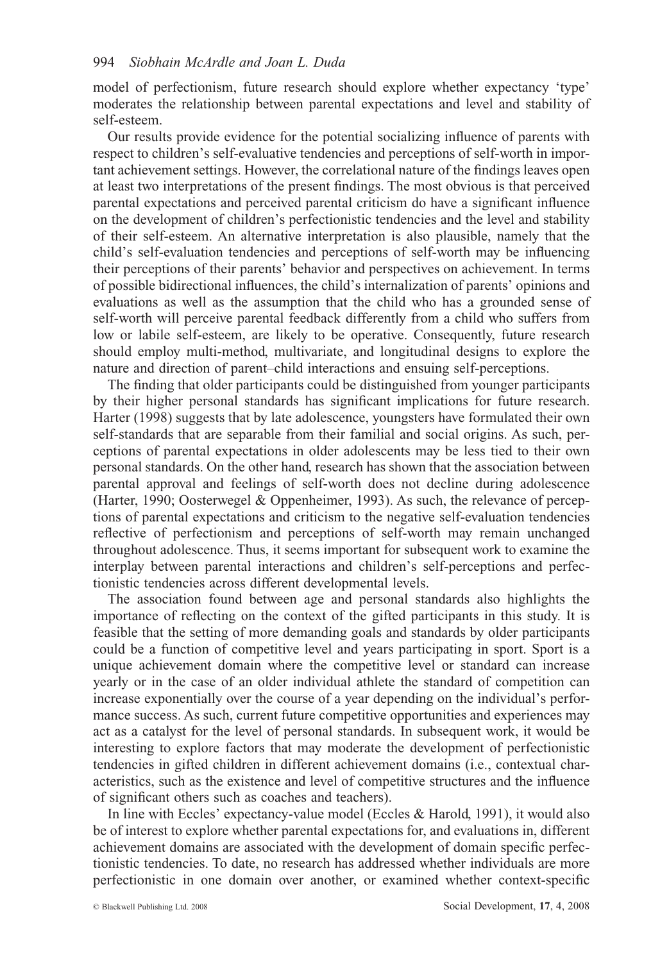model of perfectionism, future research should explore whether expectancy 'type' moderates the relationship between parental expectations and level and stability of self-esteem.

Our results provide evidence for the potential socializing influence of parents with respect to children's self-evaluative tendencies and perceptions of self-worth in important achievement settings. However, the correlational nature of the findings leaves open at least two interpretations of the present findings. The most obvious is that perceived parental expectations and perceived parental criticism do have a significant influence on the development of children's perfectionistic tendencies and the level and stability of their self-esteem. An alternative interpretation is also plausible, namely that the child's self-evaluation tendencies and perceptions of self-worth may be influencing their perceptions of their parents' behavior and perspectives on achievement. In terms of possible bidirectional influences, the child's internalization of parents' opinions and evaluations as well as the assumption that the child who has a grounded sense of self-worth will perceive parental feedback differently from a child who suffers from low or labile self-esteem, are likely to be operative. Consequently, future research should employ multi-method, multivariate, and longitudinal designs to explore the nature and direction of parent–child interactions and ensuing self-perceptions.

The finding that older participants could be distinguished from younger participants by their higher personal standards has significant implications for future research. Harter (1998) suggests that by late adolescence, youngsters have formulated their own self-standards that are separable from their familial and social origins. As such, perceptions of parental expectations in older adolescents may be less tied to their own personal standards. On the other hand, research has shown that the association between parental approval and feelings of self-worth does not decline during adolescence (Harter, 1990; Oosterwegel & Oppenheimer, 1993). As such, the relevance of perceptions of parental expectations and criticism to the negative self-evaluation tendencies reflective of perfectionism and perceptions of self-worth may remain unchanged throughout adolescence. Thus, it seems important for subsequent work to examine the interplay between parental interactions and children's self-perceptions and perfectionistic tendencies across different developmental levels.

The association found between age and personal standards also highlights the importance of reflecting on the context of the gifted participants in this study. It is feasible that the setting of more demanding goals and standards by older participants could be a function of competitive level and years participating in sport. Sport is a unique achievement domain where the competitive level or standard can increase yearly or in the case of an older individual athlete the standard of competition can increase exponentially over the course of a year depending on the individual's performance success. As such, current future competitive opportunities and experiences may act as a catalyst for the level of personal standards. In subsequent work, it would be interesting to explore factors that may moderate the development of perfectionistic tendencies in gifted children in different achievement domains (i.e., contextual characteristics, such as the existence and level of competitive structures and the influence of significant others such as coaches and teachers).

In line with Eccles' expectancy-value model (Eccles & Harold, 1991), it would also be of interest to explore whether parental expectations for, and evaluations in, different achievement domains are associated with the development of domain specific perfectionistic tendencies. To date, no research has addressed whether individuals are more perfectionistic in one domain over another, or examined whether context-specific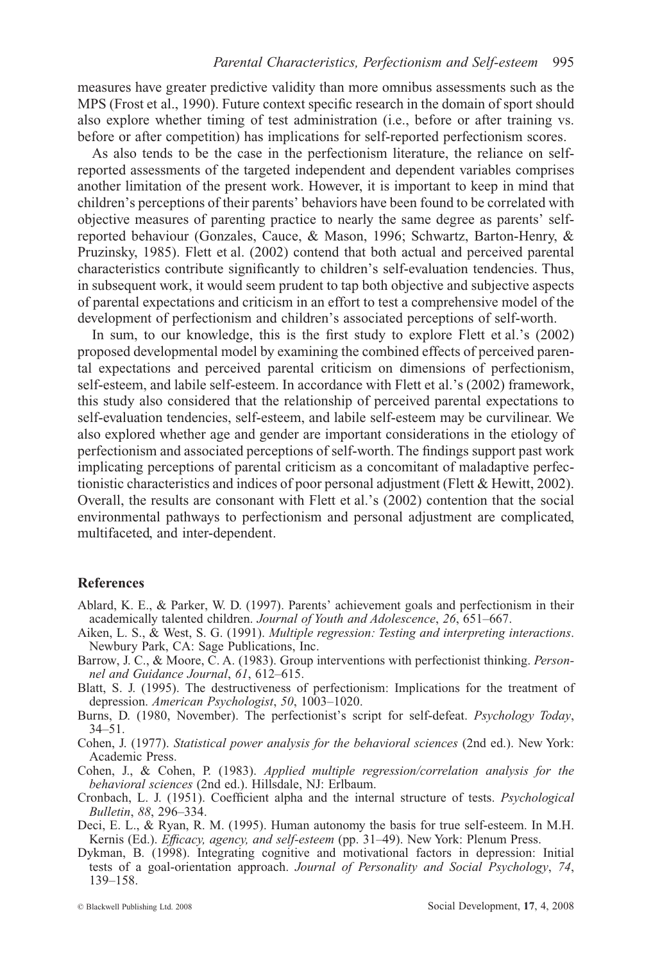measures have greater predictive validity than more omnibus assessments such as the MPS (Frost et al., 1990). Future context specific research in the domain of sport should also explore whether timing of test administration (i.e., before or after training vs. before or after competition) has implications for self-reported perfectionism scores.

As also tends to be the case in the perfectionism literature, the reliance on selfreported assessments of the targeted independent and dependent variables comprises another limitation of the present work. However, it is important to keep in mind that children's perceptions of their parents' behaviors have been found to be correlated with objective measures of parenting practice to nearly the same degree as parents' selfreported behaviour (Gonzales, Cauce, & Mason, 1996; Schwartz, Barton-Henry, & Pruzinsky, 1985). Flett et al. (2002) contend that both actual and perceived parental characteristics contribute significantly to children's self-evaluation tendencies. Thus, in subsequent work, it would seem prudent to tap both objective and subjective aspects of parental expectations and criticism in an effort to test a comprehensive model of the development of perfectionism and children's associated perceptions of self-worth.

In sum, to our knowledge, this is the first study to explore Flett et al.'s (2002) proposed developmental model by examining the combined effects of perceived parental expectations and perceived parental criticism on dimensions of perfectionism, self-esteem, and labile self-esteem. In accordance with Flett et al.'s (2002) framework, this study also considered that the relationship of perceived parental expectations to self-evaluation tendencies, self-esteem, and labile self-esteem may be curvilinear. We also explored whether age and gender are important considerations in the etiology of perfectionism and associated perceptions of self-worth. The findings support past work implicating perceptions of parental criticism as a concomitant of maladaptive perfectionistic characteristics and indices of poor personal adjustment (Flett & Hewitt, 2002). Overall, the results are consonant with Flett et al.'s (2002) contention that the social environmental pathways to perfectionism and personal adjustment are complicated, multifaceted, and inter-dependent.

#### **References**

- Ablard, K. E., & Parker, W. D. (1997). Parents' achievement goals and perfectionism in their academically talented children. *Journal of Youth and Adolescence*, *26*, 651–667.
- Aiken, L. S., & West, S. G. (1991). *Multiple regression: Testing and interpreting interactions*. Newbury Park, CA: Sage Publications, Inc.
- Barrow, J. C., & Moore, C. A. (1983). Group interventions with perfectionist thinking. *Personnel and Guidance Journal*, *61*, 612–615.
- Blatt, S. J. (1995). The destructiveness of perfectionism: Implications for the treatment of depression. *American Psychologist*, *50*, 1003–1020.

Burns, D. (1980, November). The perfectionist's script for self-defeat. *Psychology Today*, 34–51.

Cohen, J. (1977). *Statistical power analysis for the behavioral sciences* (2nd ed.). New York: Academic Press.

Cohen, J., & Cohen, P. (1983). *Applied multiple regression/correlation analysis for the behavioral sciences* (2nd ed.). Hillsdale, NJ: Erlbaum.

- Cronbach, L. J. (1951). Coefficient alpha and the internal structure of tests. *Psychological Bulletin*, *88*, 296–334.
- Deci, E. L., & Ryan, R. M. (1995). Human autonomy the basis for true self-esteem. In M.H. Kernis (Ed.). *Efficacy, agency, and self-esteem* (pp. 31–49). New York: Plenum Press.
- Dykman, B. (1998). Integrating cognitive and motivational factors in depression: Initial tests of a goal-orientation approach. *Journal of Personality and Social Psychology*, *74*, 139–158.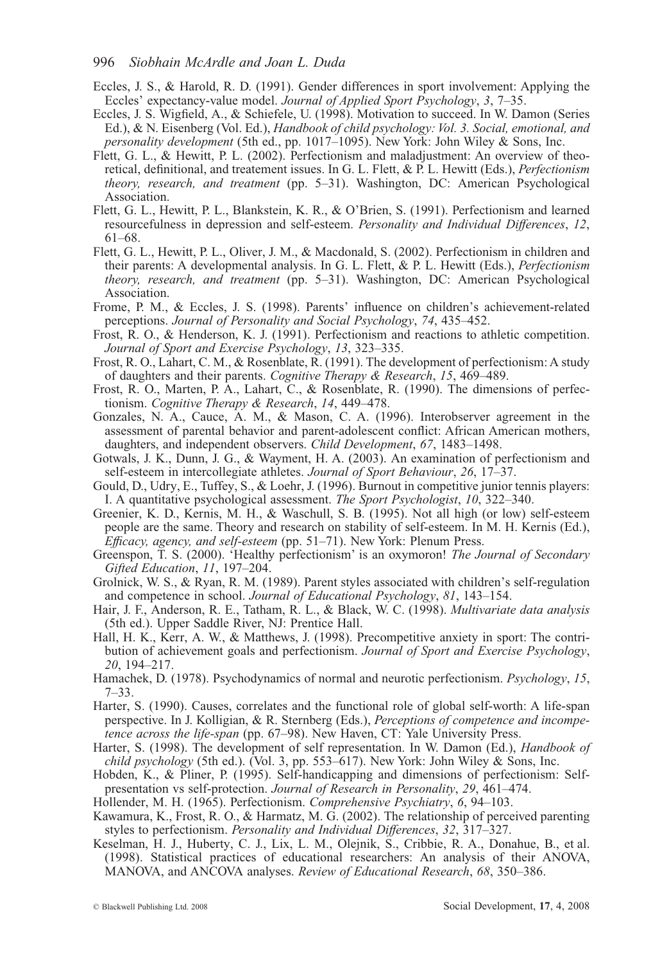- Eccles, J. S., & Harold, R. D. (1991). Gender differences in sport involvement: Applying the Eccles' expectancy-value model. *Journal of Applied Sport Psychology*, *3*, 7–35.
- Eccles, J. S. Wigfield, A., & Schiefele, U. (1998). Motivation to succeed. In W. Damon (Series Ed.), & N. Eisenberg (Vol. Ed.), *Handbook of child psychology: Vol. 3. Social, emotional, and personality development* (5th ed., pp. 1017–1095). New York: John Wiley & Sons, Inc.
- Flett, G. L., & Hewitt, P. L. (2002). Perfectionism and maladjustment: An overview of theoretical, definitional, and treatement issues. In G. L. Flett, & P. L. Hewitt (Eds.), *Perfectionism theory, research, and treatment* (pp. 5–31). Washington, DC: American Psychological Association.
- Flett, G. L., Hewitt, P. L., Blankstein, K. R., & O'Brien, S. (1991). Perfectionism and learned resourcefulness in depression and self-esteem. *Personality and Individual Differences*, *12*, 61–68.
- Flett, G. L., Hewitt, P. L., Oliver, J. M., & Macdonald, S. (2002). Perfectionism in children and their parents: A developmental analysis. In G. L. Flett, & P. L. Hewitt (Eds.), *Perfectionism theory, research, and treatment* (pp. 5–31). Washington, DC: American Psychological Association.
- Frome, P. M., & Eccles, J. S. (1998). Parents' influence on children's achievement-related perceptions. *Journal of Personality and Social Psychology*, *74*, 435–452.
- Frost, R. O., & Henderson, K. J. (1991). Perfectionism and reactions to athletic competition. *Journal of Sport and Exercise Psychology*, *13*, 323–335.
- Frost, R. O., Lahart, C. M., & Rosenblate, R. (1991). The development of perfectionism: A study of daughters and their parents. *Cognitive Therapy & Research*, *15*, 469–489.
- Frost, R. O., Marten, P. A., Lahart, C., & Rosenblate, R. (1990). The dimensions of perfectionism. *Cognitive Therapy & Research*, *14*, 449–478.
- Gonzales, N. A., Cauce, A. M., & Mason, C. A. (1996). Interobserver agreement in the assessment of parental behavior and parent-adolescent conflict: African American mothers, daughters, and independent observers. *Child Development*, *67*, 1483–1498.
- Gotwals, J. K., Dunn, J. G., & Wayment, H. A. (2003). An examination of perfectionism and self-esteem in intercollegiate athletes. *Journal of Sport Behaviour*, *26*, 17–37.
- Gould, D., Udry, E., Tuffey, S., & Loehr, J. (1996). Burnout in competitive junior tennis players: I. A quantitative psychological assessment. *The Sport Psychologist*, *10*, 322–340.
- Greenier, K. D., Kernis, M. H., & Waschull, S. B. (1995). Not all high (or low) self-esteem people are the same. Theory and research on stability of self-esteem. In M. H. Kernis (Ed.), *Efficacy, agency, and self-esteem* (pp. 51–71). New York: Plenum Press.
- Greenspon, T. S. (2000). 'Healthy perfectionism' is an oxymoron! *The Journal of Secondary Gifted Education*, *11*, 197–204.
- Grolnick, W. S., & Ryan, R. M. (1989). Parent styles associated with children's self-regulation and competence in school. *Journal of Educational Psychology*, *81*, 143–154.
- Hair, J. F., Anderson, R. E., Tatham, R. L., & Black, W. C. (1998). *Multivariate data analysis* (5th ed.). Upper Saddle River, NJ: Prentice Hall.
- Hall, H. K., Kerr, A. W., & Matthews, J. (1998). Precompetitive anxiety in sport: The contribution of achievement goals and perfectionism. *Journal of Sport and Exercise Psychology*, *20*, 194–217.
- Hamachek, D. (1978). Psychodynamics of normal and neurotic perfectionism. *Psychology*, *15*, 7–33.
- Harter, S. (1990). Causes, correlates and the functional role of global self-worth: A life-span perspective. In J. Kolligian, & R. Sternberg (Eds.), *Perceptions of competence and incompetence across the life-span* (pp. 67–98). New Haven, CT: Yale University Press.
- Harter, S. (1998). The development of self representation. In W. Damon (Ed.), *Handbook of child psychology* (5th ed.). (Vol. 3, pp. 553–617). New York: John Wiley & Sons, Inc.
- Hobden, K., & Pliner, P. (1995). Self-handicapping and dimensions of perfectionism: Selfpresentation vs self-protection. *Journal of Research in Personality*, *29*, 461–474.
- Hollender, M. H. (1965). Perfectionism. *Comprehensive Psychiatry*, *6*, 94–103.
- Kawamura, K., Frost, R. O., & Harmatz, M. G. (2002). The relationship of perceived parenting styles to perfectionism. *Personality and Individual Differences*, *32*, 317–327.
- Keselman, H. J., Huberty, C. J., Lix, L. M., Olejnik, S., Cribbie, R. A., Donahue, B., et al. (1998). Statistical practices of educational researchers: An analysis of their ANOVA, MANOVA, and ANCOVA analyses. *Review of Educational Research*, *68*, 350–386.